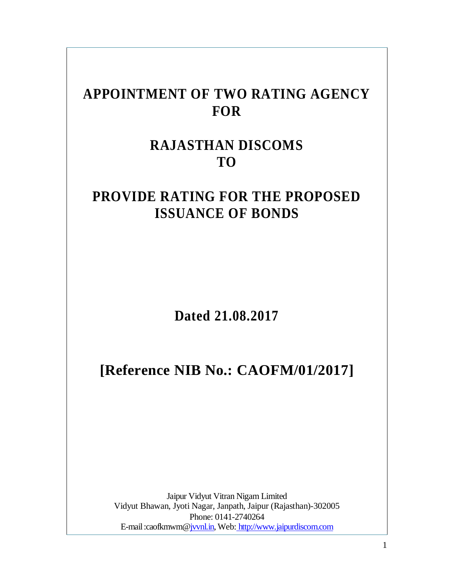# **APPOINTMENT OF TWO RATING AGENCY FOR**

# **RAJASTHAN DISCOMS TO**

# **PROVIDE RATING FOR THE PROPOSED ISSUANCE OF BONDS**

**Dated 21.08.2017**

# **[Reference NIB No.: CAOFM/01/2017]**

Jaipur Vidyut Vitran Nigam Limited Vidyut Bhawan, Jyoti Nagar, Janpath, Jaipur (Rajasthan)-302005 Phone: 0141-2740264 E-mail :caofkmwm[@jvvnl.in,](http://jvvnl.in/) Web: [http://www.jaipurdiscom.com](http://www.jaipurdiscom.com/)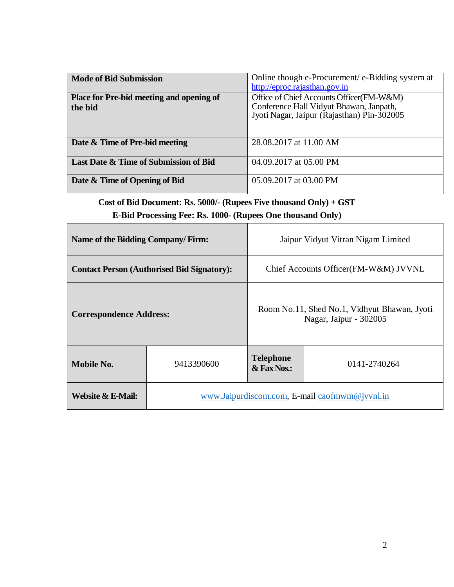| <b>Mode of Bid Submission</b>                              | Online though e-Procurement/ e-Bidding system at<br>http://eproc.rajasthan.gov.in                                                 |
|------------------------------------------------------------|-----------------------------------------------------------------------------------------------------------------------------------|
| <b>Place for Pre-bid meeting and opening of</b><br>the bid | Office of Chief Accounts Officer(FM-W&M)<br>Conference Hall Vidyut Bhawan, Janpath,<br>Jyoti Nagar, Jaipur (Rajasthan) Pin-302005 |
| Date & Time of Pre-bid meeting                             | 28.08.2017 at 11.00 AM                                                                                                            |
| Last Date & Time of Submission of Bid                      | 04.09.2017 at 05.00 PM                                                                                                            |
| Date & Time of Opening of Bid                              | 05.09.2017 at 03.00 PM                                                                                                            |

**Cost of Bid Document: Rs. 5000/- (Rupees Five thousand Only) + GST**

**E-Bid Processing Fee: Rs. 1000- (Rupees One thousand Only)**

| Name of the Bidding Company/Firm:                 |                                               | Jaipur Vidyut Vitran Nigam Limited                                     |  |
|---------------------------------------------------|-----------------------------------------------|------------------------------------------------------------------------|--|
| <b>Contact Person (Authorised Bid Signatory):</b> |                                               | Chief Accounts Officer (FM-W&M) JVVNL                                  |  |
| <b>Correspondence Address:</b>                    |                                               | Room No.11, Shed No.1, Vidhyut Bhawan, Jyoti<br>Nagar, Jaipur - 302005 |  |
| Mobile No.<br>9413390600                          |                                               | <b>Telephone</b><br>0141-2740264<br>& Fax Nos.:                        |  |
| Website & E-Mail:                                 | www.Jaipurdiscom.com, E-mail caofmwm@jvvnl.in |                                                                        |  |

٦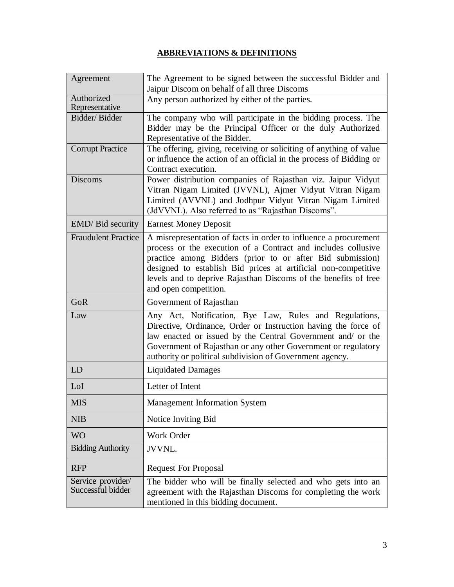## **ABBREVIATIONS & DEFINITIONS**

| Agreement                              | The Agreement to be signed between the successful Bidder and                                                                                                                                                                                                                                                                                                 |  |
|----------------------------------------|--------------------------------------------------------------------------------------------------------------------------------------------------------------------------------------------------------------------------------------------------------------------------------------------------------------------------------------------------------------|--|
|                                        | Jaipur Discom on behalf of all three Discoms                                                                                                                                                                                                                                                                                                                 |  |
| Authorized<br>Representative           | Any person authorized by either of the parties.                                                                                                                                                                                                                                                                                                              |  |
| Bidder/Bidder                          | The company who will participate in the bidding process. The<br>Bidder may be the Principal Officer or the duly Authorized<br>Representative of the Bidder.                                                                                                                                                                                                  |  |
| <b>Corrupt Practice</b>                | The offering, giving, receiving or soliciting of anything of value<br>or influence the action of an official in the process of Bidding or<br>Contract execution.                                                                                                                                                                                             |  |
| Discoms                                | Power distribution companies of Rajasthan viz. Jaipur Vidyut<br>Vitran Nigam Limited (JVVNL), Ajmer Vidyut Vitran Nigam<br>Limited (AVVNL) and Jodhpur Vidyut Vitran Nigam Limited<br>(JdVVNL). Also referred to as "Rajasthan Discoms".                                                                                                                     |  |
| EMD/ Bid security                      | <b>Earnest Money Deposit</b>                                                                                                                                                                                                                                                                                                                                 |  |
| <b>Fraudulent Practice</b>             | A misrepresentation of facts in order to influence a procurement<br>process or the execution of a Contract and includes collusive<br>practice among Bidders (prior to or after Bid submission)<br>designed to establish Bid prices at artificial non-competitive<br>levels and to deprive Rajasthan Discoms of the benefits of free<br>and open competition. |  |
| GoR                                    | Government of Rajasthan                                                                                                                                                                                                                                                                                                                                      |  |
| Law                                    | Any Act, Notification, Bye Law, Rules and Regulations,<br>Directive, Ordinance, Order or Instruction having the force of<br>law enacted or issued by the Central Government and/ or the<br>Government of Rajasthan or any other Government or regulatory<br>authority or political subdivision of Government agency.                                         |  |
| LD                                     | <b>Liquidated Damages</b>                                                                                                                                                                                                                                                                                                                                    |  |
| LoI                                    | Letter of Intent                                                                                                                                                                                                                                                                                                                                             |  |
| <b>MIS</b>                             | <b>Management Information System</b>                                                                                                                                                                                                                                                                                                                         |  |
| <b>NIB</b>                             | Notice Inviting Bid                                                                                                                                                                                                                                                                                                                                          |  |
| <b>WO</b>                              | Work Order                                                                                                                                                                                                                                                                                                                                                   |  |
| <b>Bidding Authority</b>               | <b>JVVNL.</b>                                                                                                                                                                                                                                                                                                                                                |  |
| <b>RFP</b>                             | <b>Request For Proposal</b>                                                                                                                                                                                                                                                                                                                                  |  |
| Service provider/<br>Successful bidder | The bidder who will be finally selected and who gets into an<br>agreement with the Rajasthan Discoms for completing the work<br>mentioned in this bidding document.                                                                                                                                                                                          |  |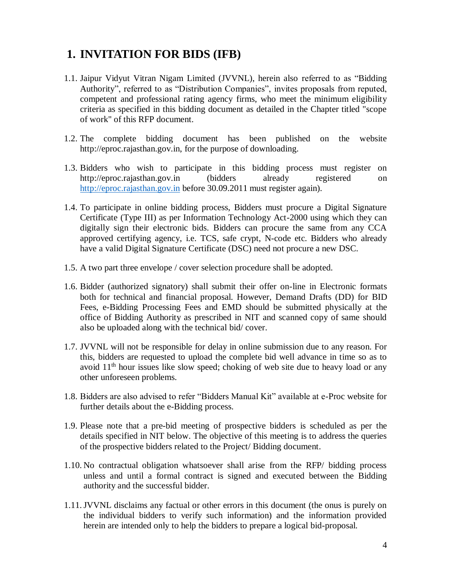## **1. INVITATION FOR BIDS (IFB)**

- 1.1. Jaipur Vidyut Vitran Nigam Limited (JVVNL), herein also referred to as "Bidding Authority", referred to as "Distribution Companies", invites proposals from reputed, competent and professional rating agency firms, who meet the minimum eligibility criteria as specified in this bidding document as detailed in the Chapter titled "scope of work" of this RFP document.
- 1.2. The complete bidding document has been published on the website [http://eproc.rajasthan.gov.in,](http://eproc.rajasthan.gov.in/) for the purpose of downloading.
- 1.3. Bidders who wish to participate in this bidding process must register on [http://eproc.rajasthan.gov.in](http://eproc.rajasthan.gov.in/) (bidders already registered on [http://eproc.rajasthan.gov.in](http://eproc.rajasthan.gov.in/) before 30.09.2011 must register again).
- 1.4. To participate in online bidding process, Bidders must procure a Digital Signature Certificate (Type III) as per Information Technology Act-2000 using which they can digitally sign their electronic bids. Bidders can procure the same from any CCA approved certifying agency, i.e. TCS, safe crypt, N-code etc. Bidders who already have a valid Digital Signature Certificate (DSC) need not procure a new DSC.
- 1.5. A two part three envelope / cover selection procedure shall be adopted.
- 1.6. Bidder (authorized signatory) shall submit their offer on-line in Electronic formats both for technical and financial proposal. However, Demand Drafts (DD) for BID Fees, e-Bidding Processing Fees and EMD should be submitted physically at the office of Bidding Authority as prescribed in NIT and scanned copy of same should also be uploaded along with the technical bid/ cover.
- 1.7. JVVNL will not be responsible for delay in online submission due to any reason. For this, bidders are requested to upload the complete bid well advance in time so as to avoid  $11<sup>th</sup>$  hour issues like slow speed; choking of web site due to heavy load or any other unforeseen problems.
- 1.8. Bidders are also advised to refer "Bidders Manual Kit" available at e-Proc website for further details about the e-Bidding process.
- 1.9. Please note that a pre-bid meeting of prospective bidders is scheduled as per the details specified in NIT below. The objective of this meeting is to address the queries of the prospective bidders related to the Project/ Bidding document.
- 1.10. No contractual obligation whatsoever shall arise from the RFP/ bidding process unless and until a formal contract is signed and executed between the Bidding authority and the successful bidder.
- 1.11.JVVNL disclaims any factual or other errors in this document (the onus is purely on the individual bidders to verify such information) and the information provided herein are intended only to help the bidders to prepare a logical bid-proposal.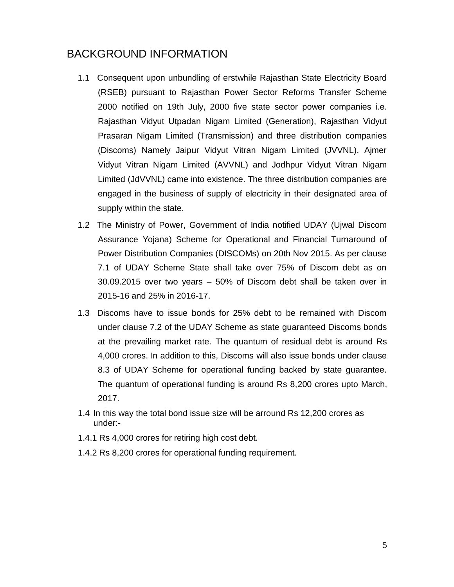## BACKGROUND INFORMATION

- 1.1 Consequent upon unbundling of erstwhile Rajasthan State Electricity Board (RSEB) pursuant to Rajasthan Power Sector Reforms Transfer Scheme 2000 notified on 19th July, 2000 five state sector power companies i.e. Rajasthan Vidyut Utpadan Nigam Limited (Generation), Rajasthan Vidyut Prasaran Nigam Limited (Transmission) and three distribution companies (Discoms) Namely Jaipur Vidyut Vitran Nigam Limited (JVVNL), Ajmer Vidyut Vitran Nigam Limited (AVVNL) and Jodhpur Vidyut Vitran Nigam Limited (JdVVNL) came into existence. The three distribution companies are engaged in the business of supply of electricity in their designated area of supply within the state.
- 1.2 The Ministry of Power, Government of India notified UDAY (Ujwal Discom Assurance Yojana) Scheme for Operational and Financial Turnaround of Power Distribution Companies (DISCOMs) on 20th Nov 2015. As per clause 7.1 of UDAY Scheme State shall take over 75% of Discom debt as on 30.09.2015 over two years – 50% of Discom debt shall be taken over in 2015-16 and 25% in 2016-17.
- 1.3 Discoms have to issue bonds for 25% debt to be remained with Discom under clause 7.2 of the UDAY Scheme as state guaranteed Discoms bonds at the prevailing market rate. The quantum of residual debt is around Rs 4,000 crores. In addition to this, Discoms will also issue bonds under clause 8.3 of UDAY Scheme for operational funding backed by state guarantee. The quantum of operational funding is around Rs 8,200 crores upto March, 2017.
- 1.4 In this way the total bond issue size will be arround Rs 12,200 crores as under:-
- 1.4.1 Rs 4,000 crores for retiring high cost debt.
- 1.4.2 Rs 8,200 crores for operational funding requirement.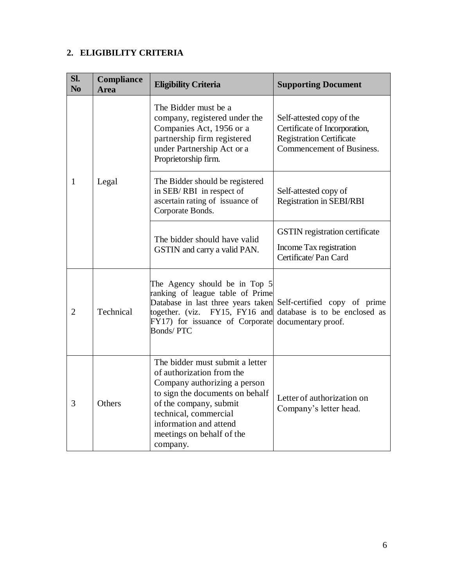## **2. ELIGIBILITY CRITERIA**

| Sl.<br>N <sub>0</sub> | Compliance<br><b>Area</b> | <b>Eligibility Criteria</b>                                                                                                                                                                                                                           | <b>Supporting Document</b>                                                                                                 |  |
|-----------------------|---------------------------|-------------------------------------------------------------------------------------------------------------------------------------------------------------------------------------------------------------------------------------------------------|----------------------------------------------------------------------------------------------------------------------------|--|
|                       |                           | The Bidder must be a<br>company, registered under the<br>Companies Act, 1956 or a<br>partnership firm registered<br>under Partnership Act or a<br>Proprietorship firm.                                                                                | Self-attested copy of the<br>Certificate of Incorporation,<br><b>Registration Certificate</b><br>Commencement of Business. |  |
| $\mathbf{1}$          | Legal                     | The Bidder should be registered<br>in SEB/RBI in respect of<br>ascertain rating of issuance of<br>Corporate Bonds.                                                                                                                                    | Self-attested copy of<br><b>Registration in SEBI/RBI</b>                                                                   |  |
|                       |                           | The bidder should have valid<br>GSTIN and carry a valid PAN.                                                                                                                                                                                          | <b>GSTIN</b> registration certificate<br>Income Tax registration<br>Certificate/Pan Card                                   |  |
| $\overline{2}$        | Technical                 | The Agency should be in Top 5<br>ranking of league table of Prime<br>Database in last three years taken<br>together. (viz. FY15, FY16 and<br>FY17) for issuance of Corporate<br><b>Bonds/PTC</b>                                                      | Self-certified copy of prime<br>database is to be enclosed as<br>documentary proof.                                        |  |
| 3                     | Others                    | The bidder must submit a letter<br>of authorization from the<br>Company authorizing a person<br>to sign the documents on behalf<br>of the company, submit<br>technical, commercial<br>information and attend<br>meetings on behalf of the<br>company. | Letter of authorization on<br>Company's letter head.                                                                       |  |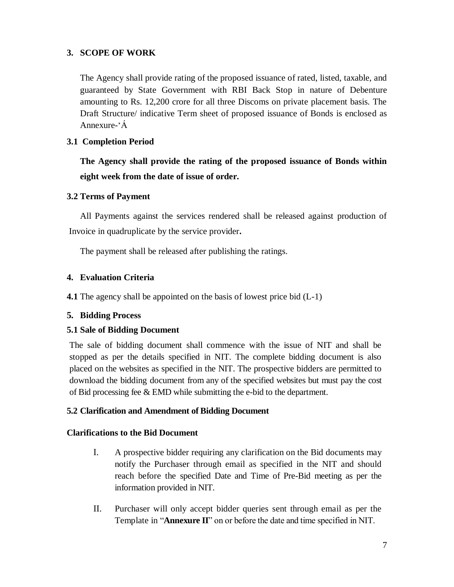#### **3. SCOPE OF WORK**

The Agency shall provide rating of the proposed issuance of rated, listed, taxable, and guaranteed by State Government with RBI Back Stop in nature of Debenture amounting to Rs. 12,200 crore for all three Discoms on private placement basis. The Draft Structure/ indicative Term sheet of proposed issuance of Bonds is enclosed as Annexure-'Á

#### **3.1 Completion Period**

**The Agency shall provide the rating of the proposed issuance of Bonds within eight week from the date of issue of order.**

#### **3.2 Terms of Payment**

All Payments against the services rendered shall be released against production of Invoice in quadruplicate by the service provider**.** 

The payment shall be released after publishing the ratings.

### **4. Evaluation Criteria**

**4.1** The agency shall be appointed on the basis of lowest price bid (L-1)

#### **5. Bidding Process**

#### **5.1 Sale of Bidding Document**

The sale of bidding document shall commence with the issue of NIT and shall be stopped as per the details specified in NIT. The complete bidding document is also placed on the websites as specified in the NIT. The prospective bidders are permitted to download the bidding document from any of the specified websites but must pay the cost of Bid processing fee & EMD while submitting the e-bid to the department.

#### **5.2 Clarification and Amendment of Bidding Document**

#### **Clarifications to the Bid Document**

- I. A prospective bidder requiring any clarification on the Bid documents may notify the Purchaser through email as specified in the NIT and should reach before the specified Date and Time of Pre-Bid meeting as per the information provided in NIT.
- II. Purchaser will only accept bidder queries sent through email as per the Template in "**Annexure II**" on or before the date and time specified in NIT.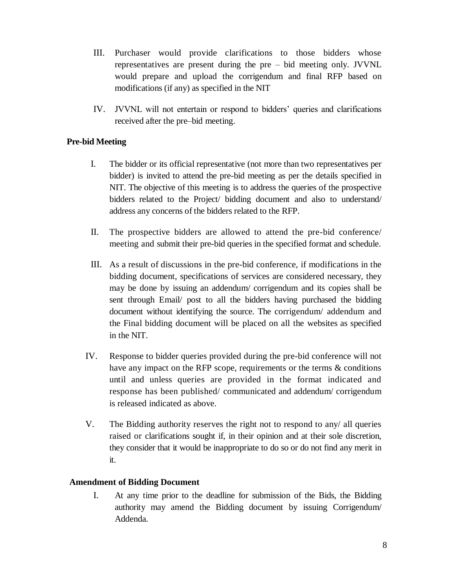- III. Purchaser would provide clarifications to those bidders whose representatives are present during the pre – bid meeting only. JVVNL would prepare and upload the corrigendum and final RFP based on modifications (if any) as specified in the NIT
- IV. JVVNL will not entertain or respond to bidders' queries and clarifications received after the pre–bid meeting.

#### **Pre-bid Meeting**

- I. The bidder or its official representative (not more than two representatives per bidder) is invited to attend the pre-bid meeting as per the details specified in NIT. The objective of this meeting is to address the queries of the prospective bidders related to the Project/ bidding document and also to understand/ address any concerns of the bidders related to the RFP.
- II. The prospective bidders are allowed to attend the pre-bid conference/ meeting and submit their pre-bid queries in the specified format and schedule.
- III. As a result of discussions in the pre-bid conference, if modifications in the bidding document, specifications of services are considered necessary, they may be done by issuing an addendum/ corrigendum and its copies shall be sent through Email/ post to all the bidders having purchased the bidding document without identifying the source. The corrigendum/ addendum and the Final bidding document will be placed on all the websites as specified in the NIT.
- IV. Response to bidder queries provided during the pre-bid conference will not have any impact on the RFP scope, requirements or the terms & conditions until and unless queries are provided in the format indicated and response has been published/ communicated and addendum/ corrigendum is released indicated as above.
- V. The Bidding authority reserves the right not to respond to any/ all queries raised or clarifications sought if, in their opinion and at their sole discretion, they consider that it would be inappropriate to do so or do not find any merit in it.

#### **Amendment of Bidding Document**

I. At any time prior to the deadline for submission of the Bids, the Bidding authority may amend the Bidding document by issuing Corrigendum/ Addenda.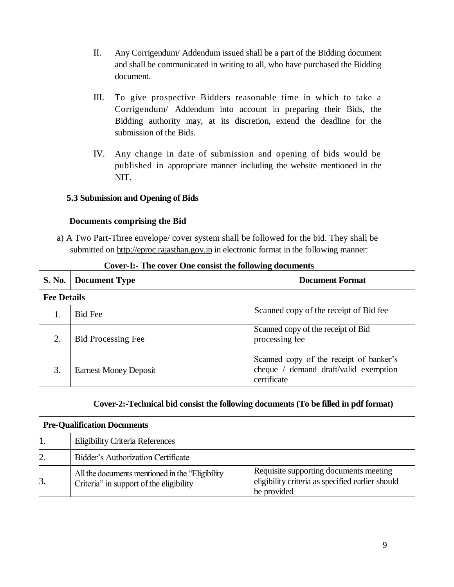- II. Any Corrigendum/ Addendum issued shall be a part of the Bidding document and shall be communicated in writing to all, who have purchased the Bidding document.
- III. To give prospective Bidders reasonable time in which to take a Corrigendum/ Addendum into account in preparing their Bids, the Bidding authority may, at its discretion, extend the deadline for the submission of the Bids.
- IV. Any change in date of submission and opening of bids would be published in appropriate manner including the website mentioned in the NIT.

#### **5.3 Submission and Opening of Bids**

#### **Documents comprising the Bid**

a) A Two Part-Three envelope/ cover system shall be followed for the bid. They shall be submitted on [http://eproc.rajasthan.gov.in](http://eproc.rajasthan.gov.in/) in electronic format in the following manner:

| S. No.             | <b>Document Type</b>         | <b>Document Format</b>                                                                          |  |  |
|--------------------|------------------------------|-------------------------------------------------------------------------------------------------|--|--|
| <b>Fee Details</b> |                              |                                                                                                 |  |  |
|                    | <b>Bid Fee</b>               | Scanned copy of the receipt of Bid fee                                                          |  |  |
|                    | <b>Bid Processing Fee</b>    | Scanned copy of the receipt of Bid<br>processing fee                                            |  |  |
| 3.                 | <b>Earnest Money Deposit</b> | Scanned copy of the receipt of banker's<br>cheque / demand draft/valid exemption<br>certificate |  |  |

#### **Cover-I:- The cover One consist the following documents**

#### **Cover-2:-Technical bid consist the following documents (To be filled in pdf format)**

| <b>Pre-Qualification Documents</b> |                                                                                             |                                                                                                           |  |  |
|------------------------------------|---------------------------------------------------------------------------------------------|-----------------------------------------------------------------------------------------------------------|--|--|
|                                    | <b>Eligibility Criteria References</b>                                                      |                                                                                                           |  |  |
| 2.                                 | <b>Bidder's Authorization Certificate</b>                                                   |                                                                                                           |  |  |
| 3.                                 | All the documents mentioned in the "Eligibility"<br>Criteria" in support of the eligibility | Requisite supporting documents meeting<br>eligibility criteria as specified earlier should<br>be provided |  |  |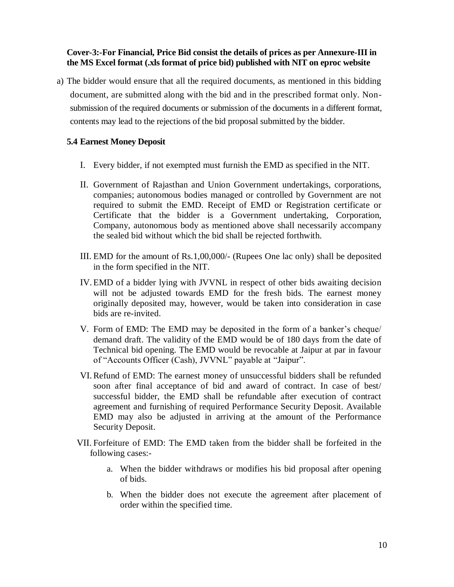#### **Cover-3:-For Financial, Price Bid consist the details of prices as per Annexure-III in the MS Excel format (.xls format of price bid) published with NIT on eproc website**

a) The bidder would ensure that all the required documents, as mentioned in this bidding document, are submitted along with the bid and in the prescribed format only. Nonsubmission of the required documents or submission of the documents in a different format, contents may lead to the rejections of the bid proposal submitted by the bidder.

#### **5.4 Earnest Money Deposit**

- I. Every bidder, if not exempted must furnish the EMD as specified in the NIT.
- II. Government of Rajasthan and Union Government undertakings, corporations, companies; autonomous bodies managed or controlled by Government are not required to submit the EMD. Receipt of EMD or Registration certificate or Certificate that the bidder is a Government undertaking, Corporation, Company, autonomous body as mentioned above shall necessarily accompany the sealed bid without which the bid shall be rejected forthwith.
- III. EMD for the amount of Rs.1,00,000/- (Rupees One lac only) shall be deposited in the form specified in the NIT.
- IV. EMD of a bidder lying with JVVNL in respect of other bids awaiting decision will not be adjusted towards EMD for the fresh bids. The earnest money originally deposited may, however, would be taken into consideration in case bids are re-invited.
- V. Form of EMD: The EMD may be deposited in the form of a banker's cheque/ demand draft. The validity of the EMD would be of 180 days from the date of Technical bid opening. The EMD would be revocable at Jaipur at par in favour of "Accounts Officer (Cash), JVVNL" payable at "Jaipur".
- VI.Refund of EMD: The earnest money of unsuccessful bidders shall be refunded soon after final acceptance of bid and award of contract. In case of best/ successful bidder, the EMD shall be refundable after execution of contract agreement and furnishing of required Performance Security Deposit. Available EMD may also be adjusted in arriving at the amount of the Performance Security Deposit.
- VII. Forfeiture of EMD: The EMD taken from the bidder shall be forfeited in the following cases:
	- a. When the bidder withdraws or modifies his bid proposal after opening of bids.
	- b. When the bidder does not execute the agreement after placement of order within the specified time.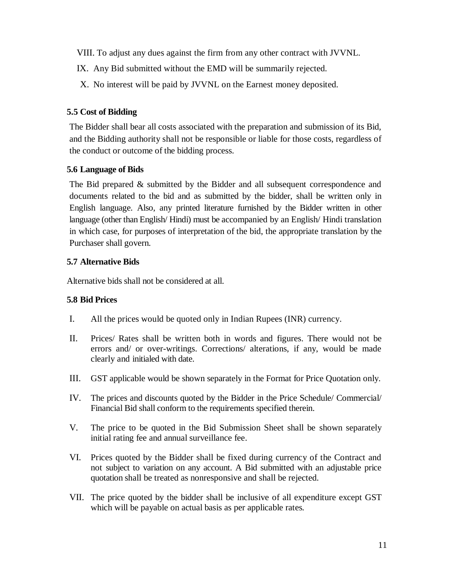VIII. To adjust any dues against the firm from any other contract with JVVNL.

- IX. Any Bid submitted without the EMD will be summarily rejected.
- X. No interest will be paid by JVVNL on the Earnest money deposited.

### **5.5 Cost of Bidding**

The Bidder shall bear all costs associated with the preparation and submission of its Bid, and the Bidding authority shall not be responsible or liable for those costs, regardless of the conduct or outcome of the bidding process.

### **5.6 Language of Bids**

The Bid prepared & submitted by the Bidder and all subsequent correspondence and documents related to the bid and as submitted by the bidder, shall be written only in English language. Also, any printed literature furnished by the Bidder written in other language (other than English/ Hindi) must be accompanied by an English/ Hindi translation in which case, for purposes of interpretation of the bid, the appropriate translation by the Purchaser shall govern.

### **5.7 Alternative Bids**

Alternative bids shall not be considered at all.

## **5.8 Bid Prices**

- I. All the prices would be quoted only in Indian Rupees (INR) currency.
- II. Prices/ Rates shall be written both in words and figures. There would not be errors and/ or over-writings. Corrections/ alterations, if any, would be made clearly and initialed with date.
- III. GST applicable would be shown separately in the Format for Price Quotation only.
- IV. The prices and discounts quoted by the Bidder in the Price Schedule/ Commercial/ Financial Bid shall conform to the requirements specified therein.
- V. The price to be quoted in the Bid Submission Sheet shall be shown separately initial rating fee and annual surveillance fee.
- VI. Prices quoted by the Bidder shall be fixed during currency of the Contract and not subject to variation on any account. A Bid submitted with an adjustable price quotation shall be treated as nonresponsive and shall be rejected.
- VII. The price quoted by the bidder shall be inclusive of all expenditure except GST which will be payable on actual basis as per applicable rates.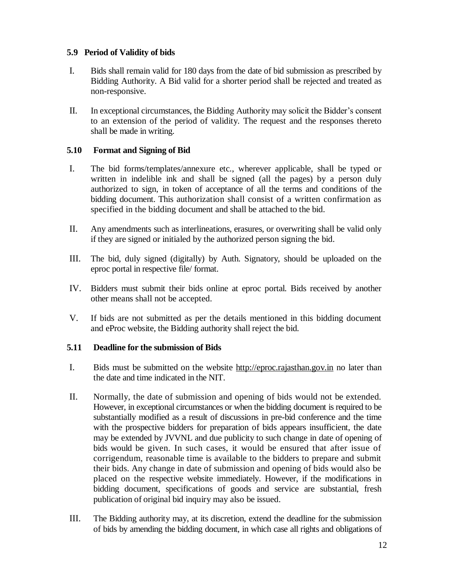#### **5.9 Period of Validity of bids**

- I. Bids shall remain valid for 180 days from the date of bid submission as prescribed by Bidding Authority. A Bid valid for a shorter period shall be rejected and treated as non-responsive.
- II. In exceptional circumstances, the Bidding Authority may solicit the Bidder's consent to an extension of the period of validity. The request and the responses thereto shall be made in writing.

#### **5.10 Format and Signing of Bid**

- I. The bid forms/templates/annexure etc., wherever applicable, shall be typed or written in indelible ink and shall be signed (all the pages) by a person duly authorized to sign, in token of acceptance of all the terms and conditions of the bidding document. This authorization shall consist of a written confirmation as specified in the bidding document and shall be attached to the bid.
- II. Any amendments such as interlineations, erasures, or overwriting shall be valid only if they are signed or initialed by the authorized person signing the bid.
- III. The bid, duly signed (digitally) by Auth. Signatory, should be uploaded on the eproc portal in respective file/ format.
- IV. Bidders must submit their bids online at eproc portal. Bids received by another other means shall not be accepted.
- V. If bids are not submitted as per the details mentioned in this bidding document and eProc website, the Bidding authority shall reject the bid.

#### **5.11 Deadline for the submission of Bids**

- I. Bids must be submitted on the website [http://eproc.rajasthan.gov.in](http://eproc.rajasthan.gov.in/) no later than the date and time indicated in the NIT.
- II. Normally, the date of submission and opening of bids would not be extended. However, in exceptional circumstances or when the bidding document is required to be substantially modified as a result of discussions in pre-bid conference and the time with the prospective bidders for preparation of bids appears insufficient, the date may be extended by JVVNL and due publicity to such change in date of opening of bids would be given. In such cases, it would be ensured that after issue of corrigendum, reasonable time is available to the bidders to prepare and submit their bids. Any change in date of submission and opening of bids would also be placed on the respective website immediately. However, if the modifications in bidding document, specifications of goods and service are substantial, fresh publication of original bid inquiry may also be issued.
- III. The Bidding authority may, at its discretion, extend the deadline for the submission of bids by amending the bidding document, in which case all rights and obligations of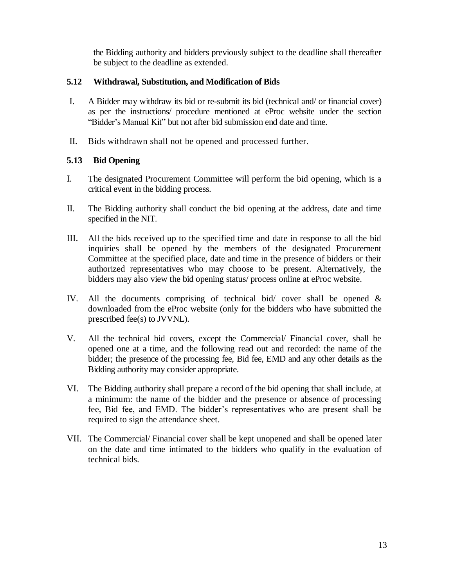the Bidding authority and bidders previously subject to the deadline shall thereafter be subject to the deadline as extended.

#### **5.12 Withdrawal, Substitution, and Modification of Bids**

- I. A Bidder may withdraw its bid or re-submit its bid (technical and/ or financial cover) as per the instructions/ procedure mentioned at eProc website under the section "Bidder's Manual Kit" but not after bid submission end date and time.
- II. Bids withdrawn shall not be opened and processed further.

#### **5.13 Bid Opening**

- I. The designated Procurement Committee will perform the bid opening, which is a critical event in the bidding process.
- II. The Bidding authority shall conduct the bid opening at the address, date and time specified in the NIT.
- III. All the bids received up to the specified time and date in response to all the bid inquiries shall be opened by the members of the designated Procurement Committee at the specified place, date and time in the presence of bidders or their authorized representatives who may choose to be present. Alternatively, the bidders may also view the bid opening status/ process online at eProc website.
- IV. All the documents comprising of technical bid/ cover shall be opened & downloaded from the eProc website (only for the bidders who have submitted the prescribed fee(s) to JVVNL).
- V. All the technical bid covers, except the Commercial/ Financial cover, shall be opened one at a time, and the following read out and recorded: the name of the bidder; the presence of the processing fee, Bid fee, EMD and any other details as the Bidding authority may consider appropriate.
- VI. The Bidding authority shall prepare a record of the bid opening that shall include, at a minimum: the name of the bidder and the presence or absence of processing fee, Bid fee, and EMD. The bidder's representatives who are present shall be required to sign the attendance sheet.
- VII. The Commercial/ Financial cover shall be kept unopened and shall be opened later on the date and time intimated to the bidders who qualify in the evaluation of technical bids.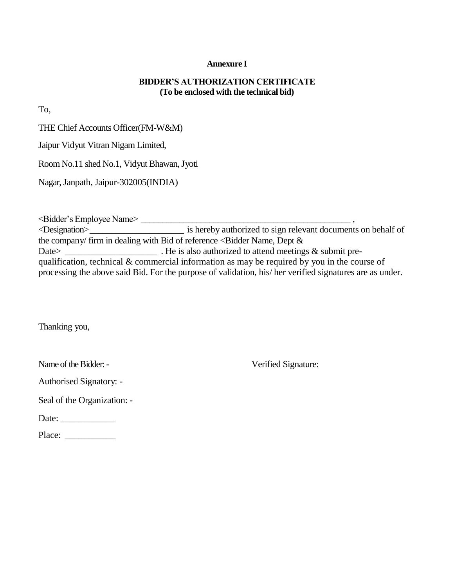#### **Annexure I**

#### **BIDDER'S AUTHORIZATION CERTIFICATE (To be enclosed with the technical bid)**

To,

THE Chief Accounts Officer(FM-W&M)

Jaipur Vidyut Vitran Nigam Limited,

Room No.11 shed No.1, Vidyut Bhawan, Jyoti

Nagar, Janpath, Jaipur-302005(INDIA)

<Bidder's Employee Name> \_\_\_\_\_\_\_\_\_\_\_\_\_\_\_\_\_\_\_\_\_\_\_\_\_\_\_\_\_\_\_\_\_\_\_\_\_\_\_\_\_\_\_\_\_\_\_\_\_ , <Designation>\_\_\_\_\_\_\_\_\_\_\_\_\_\_\_\_\_\_\_\_\_\_ is hereby authorized to sign relevant documents on behalf of the company/ firm in dealing with Bid of reference  $\leq$  Bidder Name, Dept  $\&$ Date> \_\_\_\_\_\_\_\_\_\_\_\_\_\_\_\_\_\_\_\_\_\_\_. He is also authorized to attend meetings & submit prequalification, technical & commercial information as may be required by you in the course of processing the above said Bid. For the purpose of validation, his/ her verified signatures are as under.

Thanking you,

| Name of the Bidder: - |  |
|-----------------------|--|
|-----------------------|--|

Verified Signature:

| <b>Authorised Signatory: -</b> |  |
|--------------------------------|--|
|--------------------------------|--|

Seal of the Organization: -

Date: \_\_\_\_\_\_\_\_\_\_\_\_

Place: \_\_\_\_\_\_\_\_\_\_\_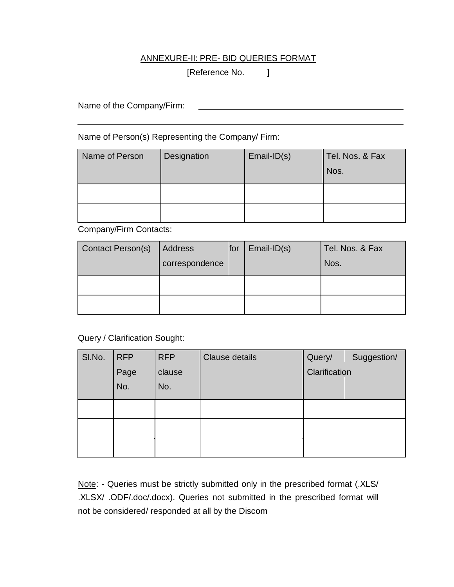#### ANNEXURE-II: PRE- BID QUERIES FORMAT

[Reference No. ]

Name of the Company/Firm:

Name of Person(s) Representing the Company/ Firm:

| Name of Person | Designation | $Email-ID(s)$ | Tel. Nos. & Fax<br>Nos. |
|----------------|-------------|---------------|-------------------------|
|                |             |               |                         |
|                |             |               |                         |

Company/Firm Contacts:

| <b>Contact Person(s)</b> | Address<br>correspondence | for | $Email-ID(s)$ | Tel. Nos. & Fax<br>Nos. |
|--------------------------|---------------------------|-----|---------------|-------------------------|
|                          |                           |     |               |                         |
|                          |                           |     |               |                         |

Query / Clarification Sought:

| SI.No. | <b>RFP</b> | <b>RFP</b> | Clause details | Query/        | Suggestion/ |
|--------|------------|------------|----------------|---------------|-------------|
|        | Page       | clause     |                | Clarification |             |
|        | No.        | No.        |                |               |             |
|        |            |            |                |               |             |
|        |            |            |                |               |             |
|        |            |            |                |               |             |

Note: - Queries must be strictly submitted only in the prescribed format (.XLS/ .XLSX/ .ODF/.doc/.docx). Queries not submitted in the prescribed format will not be considered/ responded at all by the Discom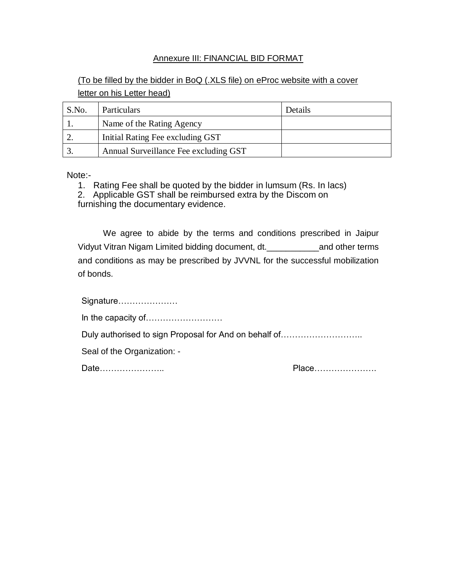#### Annexure III: FINANCIAL BID FORMAT

## (To be filled by the bidder in BoQ (.XLS file) on eProc website with a cover letter on his Letter head)

| S.No. | <b>Particulars</b>                    | Details |
|-------|---------------------------------------|---------|
|       | Name of the Rating Agency             |         |
|       | Initial Rating Fee excluding GST      |         |
|       | Annual Surveillance Fee excluding GST |         |

Note:-

1. Rating Fee shall be quoted by the bidder in lumsum (Rs. In lacs)

2. Applicable GST shall be reimbursed extra by the Discom on

furnishing the documentary evidence.

We agree to abide by the terms and conditions prescribed in Jaipur Vidyut Vitran Nigam Limited bidding document, dt.\_\_\_\_\_\_\_\_\_\_\_and other terms and conditions as may be prescribed by JVVNL for the successful mobilization of bonds.

Signature…………………

In the capacity of………………………

Duly authorised to sign Proposal for And on behalf of...........................

Seal of the Organization: -

Date………………….. Place………………….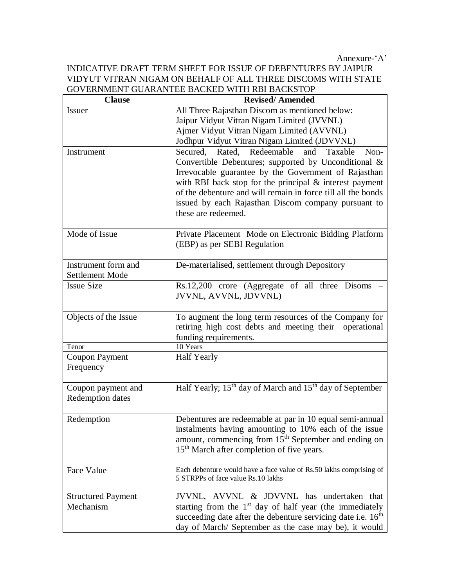Annexure-'A'

#### INDICATIVE DRAFT TERM SHEET FOR ISSUE OF DEBENTURES BY JAIPUR VIDYUT VITRAN NIGAM ON BEHALF OF ALL THREE DISCOMS WITH STATE GOVERNMENT GUARANTEE BACKED WITH RBI BACKSTOP

| <b>Clause</b>                          | <b>Revised/Amended</b>                                                                                                                                                                                                                                                                                                                                                           |
|----------------------------------------|----------------------------------------------------------------------------------------------------------------------------------------------------------------------------------------------------------------------------------------------------------------------------------------------------------------------------------------------------------------------------------|
| <b>Issuer</b>                          | All Three Rajasthan Discom as mentioned below:                                                                                                                                                                                                                                                                                                                                   |
|                                        | Jaipur Vidyut Vitran Nigam Limited (JVVNL)                                                                                                                                                                                                                                                                                                                                       |
|                                        | Ajmer Vidyut Vitran Nigam Limited (AVVNL)                                                                                                                                                                                                                                                                                                                                        |
|                                        | Jodhpur Vidyut Vitran Nigam Limited (JDVVNL)                                                                                                                                                                                                                                                                                                                                     |
| Instrument                             | Rated, Redeemable<br>Secured,<br>and<br>Taxable<br>Non-<br>Convertible Debentures; supported by Unconditional &<br>Irrevocable guarantee by the Government of Rajasthan<br>with RBI back stop for the principal & interest payment<br>of the debenture and will remain in force till all the bonds<br>issued by each Rajasthan Discom company pursuant to<br>these are redeemed. |
| Mode of Issue                          | Private Placement Mode on Electronic Bidding Platform<br>(EBP) as per SEBI Regulation                                                                                                                                                                                                                                                                                            |
| Instrument form and<br>Settlement Mode | De-materialised, settlement through Depository                                                                                                                                                                                                                                                                                                                                   |
| <b>Issue Size</b>                      | Rs.12,200 crore (Aggregate of all three Disoms<br>JVVNL, AVVNL, JDVVNL)                                                                                                                                                                                                                                                                                                          |
| Objects of the Issue                   | To augment the long term resources of the Company for<br>retiring high cost debts and meeting their operational<br>funding requirements.                                                                                                                                                                                                                                         |
| Tenor                                  | 10 Years                                                                                                                                                                                                                                                                                                                                                                         |
| <b>Coupon Payment</b><br>Frequency     | <b>Half Yearly</b>                                                                                                                                                                                                                                                                                                                                                               |
| Coupon payment and<br>Redemption dates | Half Yearly; 15 <sup>th</sup> day of March and 15 <sup>th</sup> day of September                                                                                                                                                                                                                                                                                                 |
| Redemption                             | Debentures are redeemable at par in 10 equal semi-annual<br>instalments having amounting to 10% each of the issue<br>amount, commencing from 15 <sup>th</sup> September and ending on<br>15 <sup>th</sup> March after completion of five years.                                                                                                                                  |
| Face Value                             | Each debenture would have a face value of Rs.50 lakhs comprising of<br>5 STRPPs of face value Rs.10 lakhs                                                                                                                                                                                                                                                                        |
| <b>Structured Payment</b><br>Mechanism | JVVNL, AVVNL & JDVVNL has undertaken that<br>starting from the $1st$ day of half year (the immediately<br>succeeding date after the debenture servicing date i.e. $16th$<br>day of March/ September as the case may be), it would                                                                                                                                                |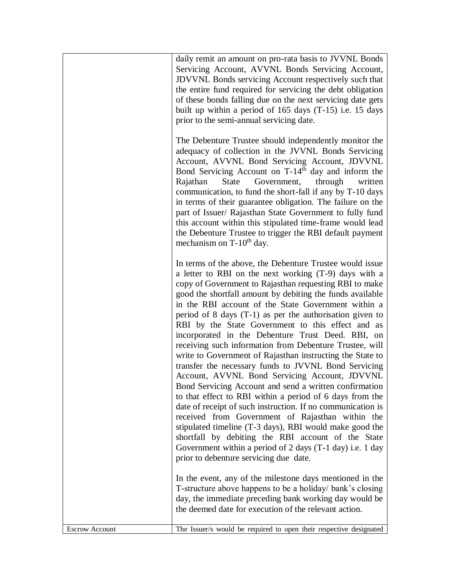|                       | daily remit an amount on pro-rata basis to JVVNL Bonds<br>Servicing Account, AVVNL Bonds Servicing Account,<br><b>JDVVNL</b> Bonds servicing Account respectively such that<br>the entire fund required for servicing the debt obligation<br>of these bonds falling due on the next servicing date gets<br>built up within a period of 165 days (T-15) i.e. 15 days<br>prior to the semi-annual servicing date.                                                                                                                                                                                                                                                                                                                                                                                                                                                                                                                                                                                                                                                                                                                                                             |
|-----------------------|-----------------------------------------------------------------------------------------------------------------------------------------------------------------------------------------------------------------------------------------------------------------------------------------------------------------------------------------------------------------------------------------------------------------------------------------------------------------------------------------------------------------------------------------------------------------------------------------------------------------------------------------------------------------------------------------------------------------------------------------------------------------------------------------------------------------------------------------------------------------------------------------------------------------------------------------------------------------------------------------------------------------------------------------------------------------------------------------------------------------------------------------------------------------------------|
|                       | The Debenture Trustee should independently monitor the<br>adequacy of collection in the JVVNL Bonds Servicing<br>Account, AVVNL Bond Servicing Account, JDVVNL<br>Bond Servicing Account on T-14 <sup>th</sup> day and inform the<br>Rajathan<br>State<br>Government,<br>through<br>written<br>communication, to fund the short-fall if any by T-10 days<br>in terms of their guarantee obligation. The failure on the<br>part of Issuer/ Rajasthan State Government to fully fund<br>this account within this stipulated time-frame would lead<br>the Debenture Trustee to trigger the RBI default payment<br>mechanism on T-10 <sup>th</sup> day.                                                                                                                                                                                                                                                                                                                                                                                                                                                                                                                         |
|                       | In terms of the above, the Debenture Trustee would issue<br>a letter to RBI on the next working (T-9) days with a<br>copy of Government to Rajasthan requesting RBI to make<br>good the shortfall amount by debiting the funds available<br>in the RBI account of the State Government within a<br>period of $8$ days $(T-1)$ as per the authorisation given to<br>RBI by the State Government to this effect and as<br>incorporated in the Debenture Trust Deed. RBI, on<br>receiving such information from Debenture Trustee, will<br>write to Government of Rajasthan instructing the State to<br>transfer the necessary funds to JVVNL Bond Servicing<br>Account, AVVNL Bond Servicing Account, JDVVNL<br>Bond Servicing Account and send a written confirmation<br>to that effect to RBI within a period of 6 days from the<br>date of receipt of such instruction. If no communication is<br>received from Government of Rajasthan within the<br>stipulated timeline (T-3 days), RBI would make good the<br>shortfall by debiting the RBI account of the State<br>Government within a period of 2 days (T-1 day) i.e. 1 day<br>prior to debenture servicing due date. |
|                       | In the event, any of the milestone days mentioned in the<br>T-structure above happens to be a holiday/ bank's closing<br>day, the immediate preceding bank working day would be<br>the deemed date for execution of the relevant action.                                                                                                                                                                                                                                                                                                                                                                                                                                                                                                                                                                                                                                                                                                                                                                                                                                                                                                                                    |
| <b>Escrow Account</b> | The Issuer/s would be required to open their respective designated                                                                                                                                                                                                                                                                                                                                                                                                                                                                                                                                                                                                                                                                                                                                                                                                                                                                                                                                                                                                                                                                                                          |